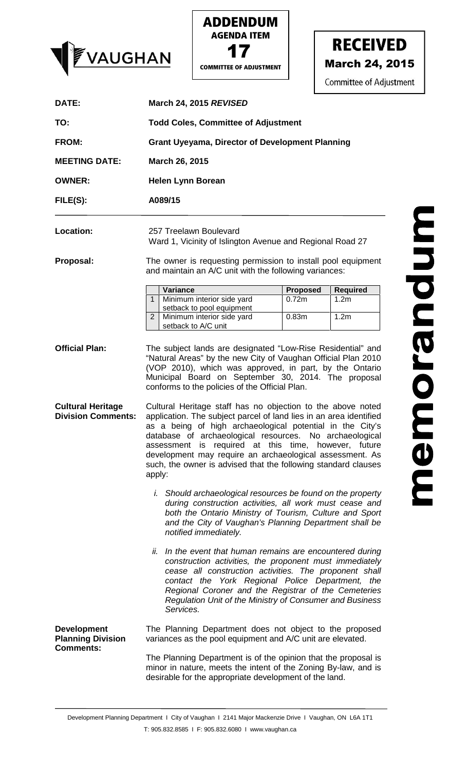





| TO:                                                                | <b>March 24, 2015 REVISED</b>                                                                                                                                                                                                                                                                                                                                                                                                                             |                 |                  |  |
|--------------------------------------------------------------------|-----------------------------------------------------------------------------------------------------------------------------------------------------------------------------------------------------------------------------------------------------------------------------------------------------------------------------------------------------------------------------------------------------------------------------------------------------------|-----------------|------------------|--|
|                                                                    | <b>Todd Coles, Committee of Adjustment</b><br><b>Grant Uyeyama, Director of Development Planning</b><br>March 26, 2015<br><b>Helen Lynn Borean</b><br>A089/15                                                                                                                                                                                                                                                                                             |                 |                  |  |
| <b>FROM:</b>                                                       |                                                                                                                                                                                                                                                                                                                                                                                                                                                           |                 |                  |  |
| <b>MEETING DATE:</b>                                               |                                                                                                                                                                                                                                                                                                                                                                                                                                                           |                 |                  |  |
| <b>OWNER:</b>                                                      |                                                                                                                                                                                                                                                                                                                                                                                                                                                           |                 |                  |  |
| $FILE(S)$ :                                                        |                                                                                                                                                                                                                                                                                                                                                                                                                                                           |                 |                  |  |
| Location:                                                          | 257 Treelawn Boulevard<br>Ward 1, Vicinity of Islington Avenue and Regional Road 27                                                                                                                                                                                                                                                                                                                                                                       |                 |                  |  |
| Proposal:                                                          | The owner is requesting permission to install pool equipment<br>and maintain an A/C unit with the following variances:                                                                                                                                                                                                                                                                                                                                    |                 |                  |  |
|                                                                    | Variance                                                                                                                                                                                                                                                                                                                                                                                                                                                  | <b>Proposed</b> | <b>Required</b>  |  |
|                                                                    | Minimum interior side yard<br>$\mathbf{1}$<br>setback to pool equipment                                                                                                                                                                                                                                                                                                                                                                                   | 0.72m           | 1.2m             |  |
|                                                                    | Minimum interior side yard<br>2<br>setback to A/C unit                                                                                                                                                                                                                                                                                                                                                                                                    | 0.83m           | 1.2 <sub>m</sub> |  |
| <b>Cultural Heritage</b><br><b>Division Comments:</b>              | Cultural Heritage staff has no objection to the above noted<br>application. The subject parcel of land lies in an area identified<br>as a being of high archaeological potential in the City's<br>database of archaeological resources. No archaeological<br>assessment is required at this time, however, future<br>development may require an archaeological assessment. As<br>such, the owner is advised that the following standard clauses<br>apply: |                 |                  |  |
|                                                                    | <i>i.</i> Should archaeological resources be found on the property<br>during construction activities, all work must cease and<br>both the Ontario Ministry of Tourism, Culture and Sport<br>and the City of Vaughan's Planning Department shall be<br>notified immediately.                                                                                                                                                                               |                 |                  |  |
|                                                                    |                                                                                                                                                                                                                                                                                                                                                                                                                                                           |                 |                  |  |
|                                                                    | ii.<br>In the event that human remains are encountered during<br>construction activities, the proponent must immediately<br>cease all construction activities. The proponent shall<br>contact the York Regional Police Department, the<br>Regional Coroner and the Registrar of the Cemeteries<br>Regulation Unit of the Ministry of Consumer and Business<br>Services.                                                                                   |                 |                  |  |
| <b>Development</b><br><b>Planning Division</b><br><b>Comments:</b> | The Planning Department does not object to the proposed<br>variances as the pool equipment and A/C unit are elevated.                                                                                                                                                                                                                                                                                                                                     |                 |                  |  |

Development Planning Department I City of Vaughan I 2141 Major Mackenzie Drive I Vaughan, ON L6A 1T1 T: 905.832.8585 I F: 905.832.6080 I www.vaughan.ca